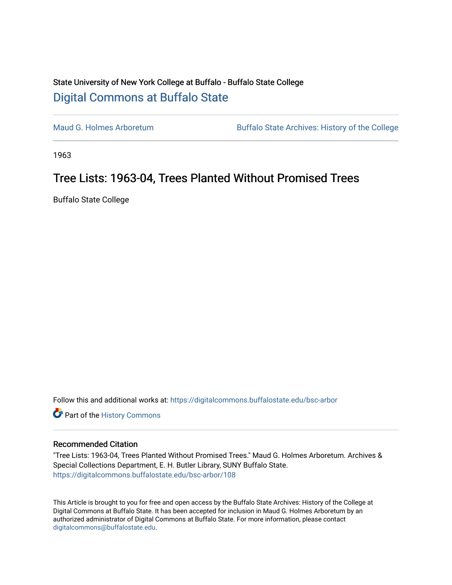## State University of New York College at Buffalo - Buffalo State College [Digital Commons at Buffalo State](https://digitalcommons.buffalostate.edu/)

[Maud G. Holmes Arboretum](https://digitalcommons.buffalostate.edu/bsc-arbor) Buffalo State Archives: History of the College

1963

## Tree Lists: 1963-04, Trees Planted Without Promised Trees

Buffalo State College

Follow this and additional works at: [https://digitalcommons.buffalostate.edu/bsc-arbor](https://digitalcommons.buffalostate.edu/bsc-arbor?utm_source=digitalcommons.buffalostate.edu%2Fbsc-arbor%2F108&utm_medium=PDF&utm_campaign=PDFCoverPages) 

Part of the [History Commons](http://network.bepress.com/hgg/discipline/489?utm_source=digitalcommons.buffalostate.edu%2Fbsc-arbor%2F108&utm_medium=PDF&utm_campaign=PDFCoverPages) 

## Recommended Citation

"Tree Lists: 1963-04, Trees Planted Without Promised Trees." Maud G. Holmes Arboretum. Archives & Special Collections Department, E. H. Butler Library, SUNY Buffalo State. [https://digitalcommons.buffalostate.edu/bsc-arbor/108](https://digitalcommons.buffalostate.edu/bsc-arbor/108?utm_source=digitalcommons.buffalostate.edu%2Fbsc-arbor%2F108&utm_medium=PDF&utm_campaign=PDFCoverPages) 

This Article is brought to you for free and open access by the Buffalo State Archives: History of the College at Digital Commons at Buffalo State. It has been accepted for inclusion in Maud G. Holmes Arboretum by an authorized administrator of Digital Commons at Buffalo State. For more information, please contact [digitalcommons@buffalostate.edu.](mailto:digitalcommons@buffalostate.edu)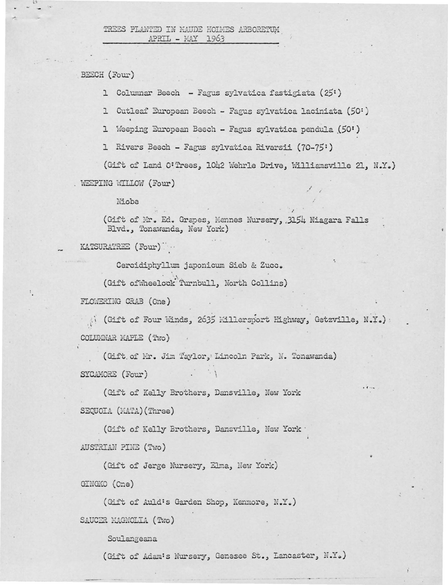BEECH (Four)

1 Columnar Beech - Fagus sylvatica fastigiata (25')

1 Cutleaf European Beech - Fagus sylvatica laciniata (50:)

1 Weeping European Beech - Fagus sylvatica pendula (50')

1 Rivers Beech - Fagus sylvatica Riversii (70-75')

(Gift of Land O'Trees, 1042 Wehrle Drive, Williamsville 21, N.Y.) . WEEPING WILLOW (Four)

Niobe

(Gift of Mr. Ed. Grapes, Mennes Nursery, 3154 Niagara Falls Blvd., Tonawanda, New York)

KATSURATREE (Four)

Cercidiphyllum japonicum Sieb & Zucc.

(Gift ofWheelock Turnbull, North Collins)

FLOWERING CRAB (One)

(Gift of Four Winds, 2635 Millersport Highway, Getzville, N.Y.): COLUMNAR MAPLE (Two)

(Gift of Mr. Jim Taylor, Lincoln Park, N. Tonawanda) SYCAMORE (Four)

(Gift of Kelly Brothers, Dansville, New York SEQUOIA (MATA) (Three)

(Gift of Kelly Brothers, Dansville, New York . AUSTRIAN PINE (Two)

(Gift of Jerge Nursery, Elma, New York) GINGKO (One)

(Gift of Auld's Garden Shop, Kenmore, N.Y.) SAUCER MAGNOLIA (Two)

Soulangeana

(Gift of Adam's Nursery, Genesee St., Lancaster, N.Y.)